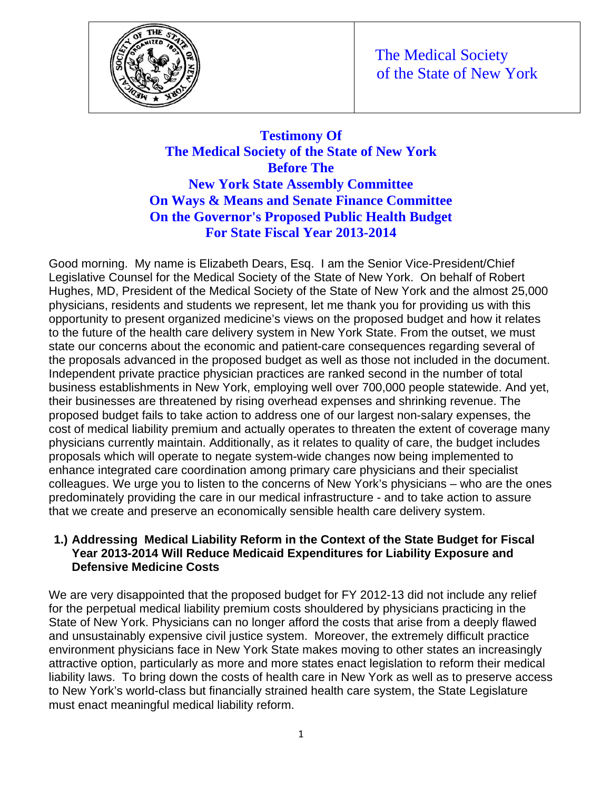

# **Testimony Of The Medical Society of the State of New York Before The New York State Assembly Committee On Ways & Means and Senate Finance Committee On the Governor's Proposed Public Health Budget For State Fiscal Year 2013-2014**

Good morning. My name is Elizabeth Dears, Esq. I am the Senior Vice-President/Chief Legislative Counsel for the Medical Society of the State of New York. On behalf of Robert Hughes, MD, President of the Medical Society of the State of New York and the almost 25,000 physicians, residents and students we represent, let me thank you for providing us with this opportunity to present organized medicine's views on the proposed budget and how it relates to the future of the health care delivery system in New York State. From the outset, we must state our concerns about the economic and patient-care consequences regarding several of the proposals advanced in the proposed budget as well as those not included in the document. Independent private practice physician practices are ranked second in the number of total business establishments in New York, employing well over 700,000 people statewide. And yet, their businesses are threatened by rising overhead expenses and shrinking revenue. The proposed budget fails to take action to address one of our largest non-salary expenses, the cost of medical liability premium and actually operates to threaten the extent of coverage many physicians currently maintain. Additionally, as it relates to quality of care, the budget includes proposals which will operate to negate system-wide changes now being implemented to enhance integrated care coordination among primary care physicians and their specialist colleagues. We urge you to listen to the concerns of New York's physicians – who are the ones predominately providing the care in our medical infrastructure - and to take action to assure that we create and preserve an economically sensible health care delivery system.

#### **1.) Addressing Medical Liability Reform in the Context of the State Budget for Fiscal Year 2013-2014 Will Reduce Medicaid Expenditures for Liability Exposure and Defensive Medicine Costs**

We are very disappointed that the proposed budget for FY 2012-13 did not include any relief for the perpetual medical liability premium costs shouldered by physicians practicing in the State of New York. Physicians can no longer afford the costs that arise from a deeply flawed and unsustainably expensive civil justice system. Moreover, the extremely difficult practice environment physicians face in New York State makes moving to other states an increasingly attractive option, particularly as more and more states enact legislation to reform their medical liability laws. To bring down the costs of health care in New York as well as to preserve access to New York's world-class but financially strained health care system, the State Legislature must enact meaningful medical liability reform.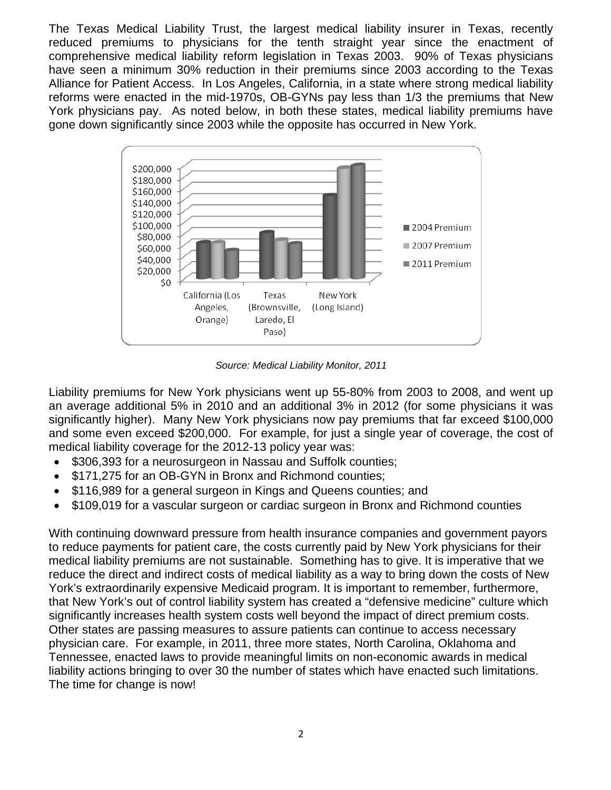The Texas Medical Liability Trust, the largest medical liability insurer in Texas, recently reduced premiums to physicians for the tenth straight year since the enactment of comprehensive medical liability reform legislation in Texas 2003. 90% of Texas physicians have seen a minimum 30% reduction in their premiums since 2003 according to the Texas Alliance for Patient Access. In Los Angeles, California, in a state where strong medical liability reforms were enacted in the mid-1970s, OB-GYNs pay less than 1/3 the premiums that New York physicians pay. As noted below, in both these states, medical liability premiums have gone down significantly since 2003 while the opposite has occurred in New York.



*Source: Medical Liability Monitor, 2011* 

Liability premiums for New York physicians went up 55-80% from 2003 to 2008, and went up an average additional 5% in 2010 and an additional 3% in 2012 (for some physicians it was significantly higher). Many New York physicians now pay premiums that far exceed \$100,000 and some even exceed \$200,000. For example, for just a single year of coverage, the cost of medical liability coverage for the 2012-13 policy year was:

- \$306,393 for a neurosurgeon in Nassau and Suffolk counties;
- \$171,275 for an OB-GYN in Bronx and Richmond counties;
- \$116,989 for a general surgeon in Kings and Queens counties; and
- \$109,019 for a vascular surgeon or cardiac surgeon in Bronx and Richmond counties

With continuing downward pressure from health insurance companies and government payors to reduce payments for patient care, the costs currently paid by New York physicians for their medical liability premiums are not sustainable. Something has to give. It is imperative that we reduce the direct and indirect costs of medical liability as a way to bring down the costs of New York's extraordinarily expensive Medicaid program. It is important to remember, furthermore, that New York's out of control liability system has created a "defensive medicine" culture which significantly increases health system costs well beyond the impact of direct premium costs. Other states are passing measures to assure patients can continue to access necessary physician care. For example, in 2011, three more states, North Carolina, Oklahoma and Tennessee, enacted laws to provide meaningful limits on non-economic awards in medical liability actions bringing to over 30 the number of states which have enacted such limitations. The time for change is now!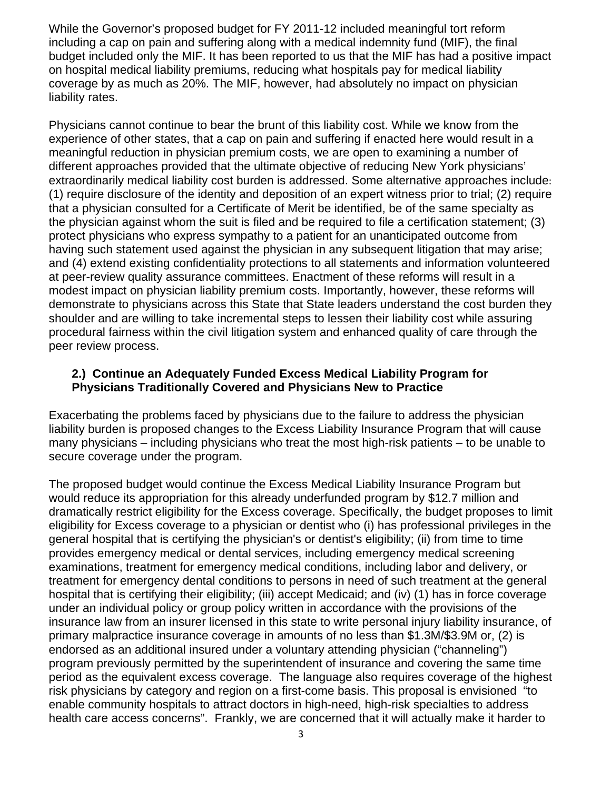While the Governor's proposed budget for FY 2011-12 included meaningful tort reform including a cap on pain and suffering along with a medical indemnity fund (MIF), the final budget included only the MIF. It has been reported to us that the MIF has had a positive impact on hospital medical liability premiums, reducing what hospitals pay for medical liability coverage by as much as 20%. The MIF, however, had absolutely no impact on physician liability rates.

Physicians cannot continue to bear the brunt of this liability cost. While we know from the experience of other states, that a cap on pain and suffering if enacted here would result in a meaningful reduction in physician premium costs, we are open to examining a number of different approaches provided that the ultimate objective of reducing New York physicians' extraordinarily medical liability cost burden is addressed. Some alternative approaches include: (1) require disclosure of the identity and deposition of an expert witness prior to trial; (2) require that a physician consulted for a Certificate of Merit be identified, be of the same specialty as the physician against whom the suit is filed and be required to file a certification statement; (3) protect physicians who express sympathy to a patient for an unanticipated outcome from having such statement used against the physician in any subsequent litigation that may arise; and (4) extend existing confidentiality protections to all statements and information volunteered at peer-review quality assurance committees. Enactment of these reforms will result in a modest impact on physician liability premium costs. Importantly, however, these reforms will demonstrate to physicians across this State that State leaders understand the cost burden they shoulder and are willing to take incremental steps to lessen their liability cost while assuring procedural fairness within the civil litigation system and enhanced quality of care through the peer review process.

#### **2.) Continue an Adequately Funded Excess Medical Liability Program for Physicians Traditionally Covered and Physicians New to Practice**

Exacerbating the problems faced by physicians due to the failure to address the physician liability burden is proposed changes to the Excess Liability Insurance Program that will cause many physicians – including physicians who treat the most high-risk patients – to be unable to secure coverage under the program.

The proposed budget would continue the Excess Medical Liability Insurance Program but would reduce its appropriation for this already underfunded program by \$12.7 million and dramatically restrict eligibility for the Excess coverage. Specifically, the budget proposes to limit eligibility for Excess coverage to a physician or dentist who (i) has professional privileges in the general hospital that is certifying the physician's or dentist's eligibility; (ii) from time to time provides emergency medical or dental services, including emergency medical screening examinations, treatment for emergency medical conditions, including labor and delivery, or treatment for emergency dental conditions to persons in need of such treatment at the general hospital that is certifying their eligibility; (iii) accept Medicaid; and (iv) (1) has in force coverage under an individual policy or group policy written in accordance with the provisions of the insurance law from an insurer licensed in this state to write personal injury liability insurance, of primary malpractice insurance coverage in amounts of no less than \$1.3M/\$3.9M or, (2) is endorsed as an additional insured under a voluntary attending physician ("channeling") program previously permitted by the superintendent of insurance and covering the same time period as the equivalent excess coverage. The language also requires coverage of the highest risk physicians by category and region on a first-come basis. This proposal is envisioned "to enable community hospitals to attract doctors in high-need, high-risk specialties to address health care access concerns". Frankly, we are concerned that it will actually make it harder to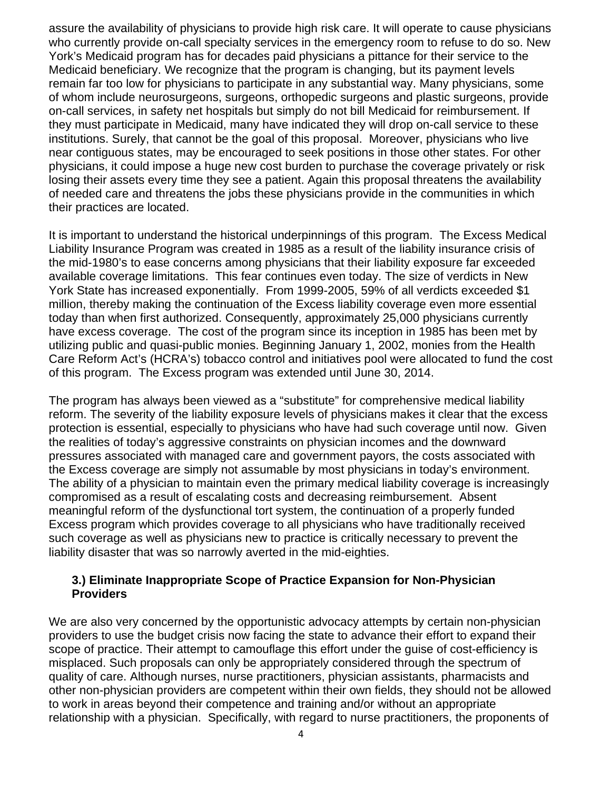assure the availability of physicians to provide high risk care. It will operate to cause physicians who currently provide on-call specialty services in the emergency room to refuse to do so. New York's Medicaid program has for decades paid physicians a pittance for their service to the Medicaid beneficiary. We recognize that the program is changing, but its payment levels remain far too low for physicians to participate in any substantial way. Many physicians, some of whom include neurosurgeons, surgeons, orthopedic surgeons and plastic surgeons, provide on-call services, in safety net hospitals but simply do not bill Medicaid for reimbursement. If they must participate in Medicaid, many have indicated they will drop on-call service to these institutions. Surely, that cannot be the goal of this proposal. Moreover, physicians who live near contiguous states, may be encouraged to seek positions in those other states. For other physicians, it could impose a huge new cost burden to purchase the coverage privately or risk losing their assets every time they see a patient. Again this proposal threatens the availability of needed care and threatens the jobs these physicians provide in the communities in which their practices are located.

It is important to understand the historical underpinnings of this program. The Excess Medical Liability Insurance Program was created in 1985 as a result of the liability insurance crisis of the mid-1980's to ease concerns among physicians that their liability exposure far exceeded available coverage limitations. This fear continues even today. The size of verdicts in New York State has increased exponentially. From 1999-2005, 59% of all verdicts exceeded \$1 million, thereby making the continuation of the Excess liability coverage even more essential today than when first authorized. Consequently, approximately 25,000 physicians currently have excess coverage. The cost of the program since its inception in 1985 has been met by utilizing public and quasi-public monies. Beginning January 1, 2002, monies from the Health Care Reform Act's (HCRA's) tobacco control and initiatives pool were allocated to fund the cost of this program. The Excess program was extended until June 30, 2014.

The program has always been viewed as a "substitute" for comprehensive medical liability reform. The severity of the liability exposure levels of physicians makes it clear that the excess protection is essential, especially to physicians who have had such coverage until now. Given the realities of today's aggressive constraints on physician incomes and the downward pressures associated with managed care and government payors, the costs associated with the Excess coverage are simply not assumable by most physicians in today's environment. The ability of a physician to maintain even the primary medical liability coverage is increasingly compromised as a result of escalating costs and decreasing reimbursement. Absent meaningful reform of the dysfunctional tort system, the continuation of a properly funded Excess program which provides coverage to all physicians who have traditionally received such coverage as well as physicians new to practice is critically necessary to prevent the liability disaster that was so narrowly averted in the mid-eighties.

### **3.) Eliminate Inappropriate Scope of Practice Expansion for Non-Physician Providers**

We are also very concerned by the opportunistic advocacy attempts by certain non-physician providers to use the budget crisis now facing the state to advance their effort to expand their scope of practice. Their attempt to camouflage this effort under the guise of cost-efficiency is misplaced. Such proposals can only be appropriately considered through the spectrum of quality of care. Although nurses, nurse practitioners, physician assistants, pharmacists and other non-physician providers are competent within their own fields, they should not be allowed to work in areas beyond their competence and training and/or without an appropriate relationship with a physician. Specifically, with regard to nurse practitioners, the proponents of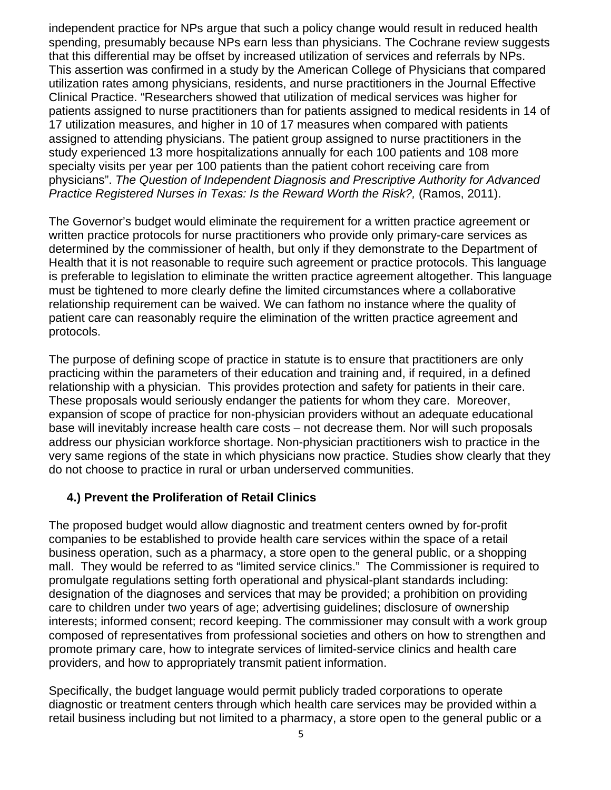independent practice for NPs argue that such a policy change would result in reduced health spending, presumably because NPs earn less than physicians. The Cochrane review suggests that this differential may be offset by increased utilization of services and referrals by NPs. This assertion was confirmed in a study by the American College of Physicians that compared utilization rates among physicians, residents, and nurse practitioners in the Journal Effective Clinical Practice. "Researchers showed that utilization of medical services was higher for patients assigned to nurse practitioners than for patients assigned to medical residents in 14 of 17 utilization measures, and higher in 10 of 17 measures when compared with patients assigned to attending physicians. The patient group assigned to nurse practitioners in the study experienced 13 more hospitalizations annually for each 100 patients and 108 more specialty visits per year per 100 patients than the patient cohort receiving care from physicians". *The Question of Independent Diagnosis and Prescriptive Authority for Advanced Practice Registered Nurses in Texas: Is the Reward Worth the Risk?,* (Ramos, 2011).

The Governor's budget would eliminate the requirement for a written practice agreement or written practice protocols for nurse practitioners who provide only primary-care services as determined by the commissioner of health, but only if they demonstrate to the Department of Health that it is not reasonable to require such agreement or practice protocols. This language is preferable to legislation to eliminate the written practice agreement altogether. This language must be tightened to more clearly define the limited circumstances where a collaborative relationship requirement can be waived. We can fathom no instance where the quality of patient care can reasonably require the elimination of the written practice agreement and protocols.

The purpose of defining scope of practice in statute is to ensure that practitioners are only practicing within the parameters of their education and training and, if required, in a defined relationship with a physician. This provides protection and safety for patients in their care. These proposals would seriously endanger the patients for whom they care. Moreover, expansion of scope of practice for non-physician providers without an adequate educational base will inevitably increase health care costs – not decrease them. Nor will such proposals address our physician workforce shortage. Non-physician practitioners wish to practice in the very same regions of the state in which physicians now practice. Studies show clearly that they do not choose to practice in rural or urban underserved communities.

# **4.) Prevent the Proliferation of Retail Clinics**

The proposed budget would allow diagnostic and treatment centers owned by for-profit companies to be established to provide health care services within the space of a retail business operation, such as a pharmacy, a store open to the general public, or a shopping mall. They would be referred to as "limited service clinics." The Commissioner is required to promulgate regulations setting forth operational and physical-plant standards including: designation of the diagnoses and services that may be provided; a prohibition on providing care to children under two years of age; advertising guidelines; disclosure of ownership interests; informed consent; record keeping. The commissioner may consult with a work group composed of representatives from professional societies and others on how to strengthen and promote primary care, how to integrate services of limited-service clinics and health care providers, and how to appropriately transmit patient information.

Specifically, the budget language would permit publicly traded corporations to operate diagnostic or treatment centers through which health care services may be provided within a retail business including but not limited to a pharmacy, a store open to the general public or a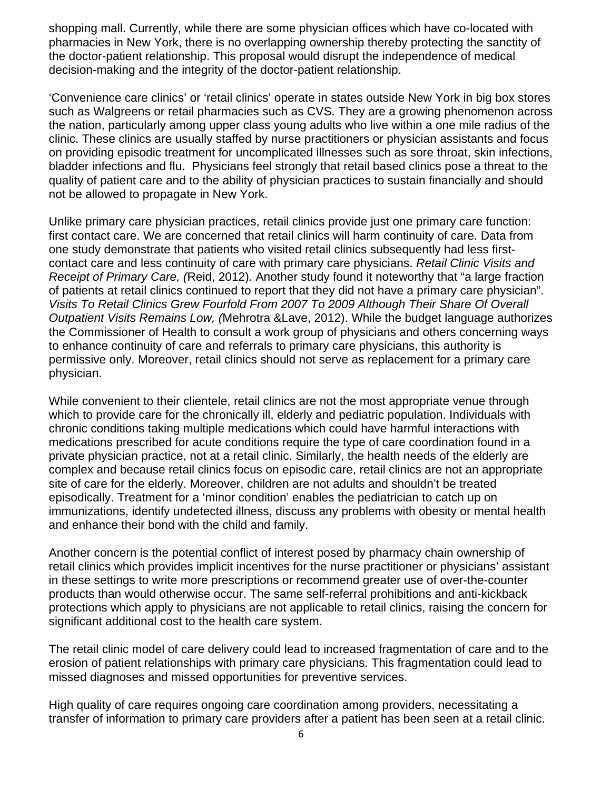shopping mall. Currently, while there are some physician offices which have co-located with pharmacies in New York, there is no overlapping ownership thereby protecting the sanctity of the doctor-patient relationship. This proposal would disrupt the independence of medical decision-making and the integrity of the doctor-patient relationship.

'Convenience care clinics' or 'retail clinics' operate in states outside New York in big box stores such as Walgreens or retail pharmacies such as CVS. They are a growing phenomenon across the nation, particularly among upper class young adults who live within a one mile radius of the clinic. These clinics are usually staffed by nurse practitioners or physician assistants and focus on providing episodic treatment for uncomplicated illnesses such as sore throat, skin infections, bladder infections and flu. Physicians feel strongly that retail based clinics pose a threat to the quality of patient care and to the ability of physician practices to sustain financially and should not be allowed to propagate in New York.

Unlike primary care physician practices, retail clinics provide just one primary care function: first contact care. We are concerned that retail clinics will harm continuity of care. Data from one study demonstrate that patients who visited retail clinics subsequently had less firstcontact care and less continuity of care with primary care physicians. *Retail Clinic Visits and Receipt of Primary Care, (*Reid, 2012)*.* Another study found it noteworthy that "a large fraction of patients at retail clinics continued to report that they did not have a primary care physician". *Visits To Retail Clinics Grew Fourfold From 2007 To 2009 Although Their Share Of Overall Outpatient Visits Remains Low, (*Mehrotra &Lave, 2012). While the budget language authorizes the Commissioner of Health to consult a work group of physicians and others concerning ways to enhance continuity of care and referrals to primary care physicians, this authority is permissive only. Moreover, retail clinics should not serve as replacement for a primary care physician.

While convenient to their clientele, retail clinics are not the most appropriate venue through which to provide care for the chronically ill, elderly and pediatric population. Individuals with chronic conditions taking multiple medications which could have harmful interactions with medications prescribed for acute conditions require the type of care coordination found in a private physician practice, not at a retail clinic. Similarly, the health needs of the elderly are complex and because retail clinics focus on episodic care, retail clinics are not an appropriate site of care for the elderly. Moreover, children are not adults and shouldn't be treated episodically. Treatment for a 'minor condition' enables the pediatrician to catch up on immunizations, identify undetected illness, discuss any problems with obesity or mental health and enhance their bond with the child and family.

Another concern is the potential conflict of interest posed by pharmacy chain ownership of retail clinics which provides implicit incentives for the nurse practitioner or physicians' assistant in these settings to write more prescriptions or recommend greater use of over-the-counter products than would otherwise occur. The same self-referral prohibitions and anti-kickback protections which apply to physicians are not applicable to retail clinics, raising the concern for significant additional cost to the health care system.

The retail clinic model of care delivery could lead to increased fragmentation of care and to the erosion of patient relationships with primary care physicians. This fragmentation could lead to missed diagnoses and missed opportunities for preventive services.

High quality of care requires ongoing care coordination among providers, necessitating a transfer of information to primary care providers after a patient has been seen at a retail clinic.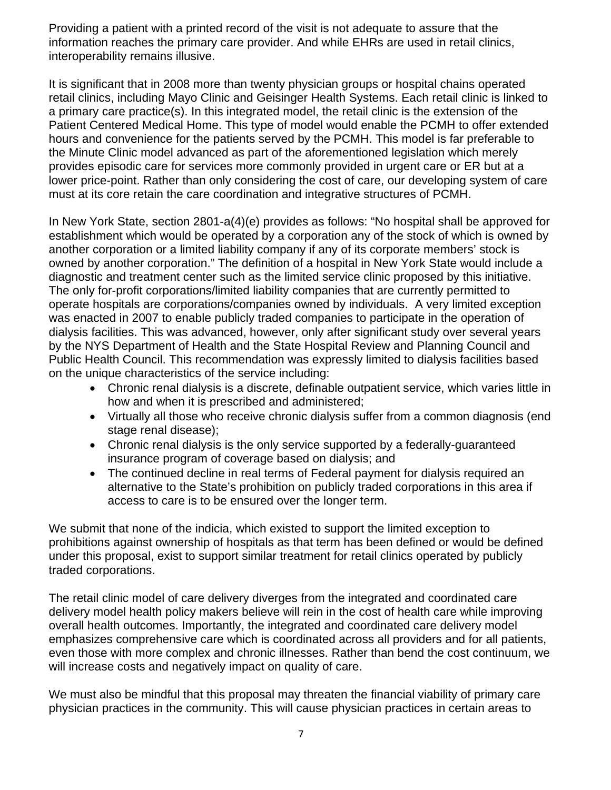Providing a patient with a printed record of the visit is not adequate to assure that the information reaches the primary care provider. And while EHRs are used in retail clinics, interoperability remains illusive.

It is significant that in 2008 more than twenty physician groups or hospital chains operated retail clinics, including Mayo Clinic and Geisinger Health Systems. Each retail clinic is linked to a primary care practice(s). In this integrated model, the retail clinic is the extension of the Patient Centered Medical Home. This type of model would enable the PCMH to offer extended hours and convenience for the patients served by the PCMH. This model is far preferable to the Minute Clinic model advanced as part of the aforementioned legislation which merely provides episodic care for services more commonly provided in urgent care or ER but at a lower price-point. Rather than only considering the cost of care, our developing system of care must at its core retain the care coordination and integrative structures of PCMH.

In New York State, section 2801-a(4)(e) provides as follows: "No hospital shall be approved for establishment which would be operated by a corporation any of the stock of which is owned by another corporation or a limited liability company if any of its corporate members' stock is owned by another corporation." The definition of a hospital in New York State would include a diagnostic and treatment center such as the limited service clinic proposed by this initiative. The only for-profit corporations/limited liability companies that are currently permitted to operate hospitals are corporations/companies owned by individuals. A very limited exception was enacted in 2007 to enable publicly traded companies to participate in the operation of dialysis facilities. This was advanced, however, only after significant study over several years by the NYS Department of Health and the State Hospital Review and Planning Council and Public Health Council. This recommendation was expressly limited to dialysis facilities based on the unique characteristics of the service including:

- Chronic renal dialysis is a discrete, definable outpatient service, which varies little in how and when it is prescribed and administered;
- Virtually all those who receive chronic dialysis suffer from a common diagnosis (end stage renal disease);
- Chronic renal dialysis is the only service supported by a federally-guaranteed insurance program of coverage based on dialysis; and
- The continued decline in real terms of Federal payment for dialysis required an alternative to the State's prohibition on publicly traded corporations in this area if access to care is to be ensured over the longer term.

We submit that none of the indicia, which existed to support the limited exception to prohibitions against ownership of hospitals as that term has been defined or would be defined under this proposal, exist to support similar treatment for retail clinics operated by publicly traded corporations.

The retail clinic model of care delivery diverges from the integrated and coordinated care delivery model health policy makers believe will rein in the cost of health care while improving overall health outcomes. Importantly, the integrated and coordinated care delivery model emphasizes comprehensive care which is coordinated across all providers and for all patients, even those with more complex and chronic illnesses. Rather than bend the cost continuum, we will increase costs and negatively impact on quality of care.

We must also be mindful that this proposal may threaten the financial viability of primary care physician practices in the community. This will cause physician practices in certain areas to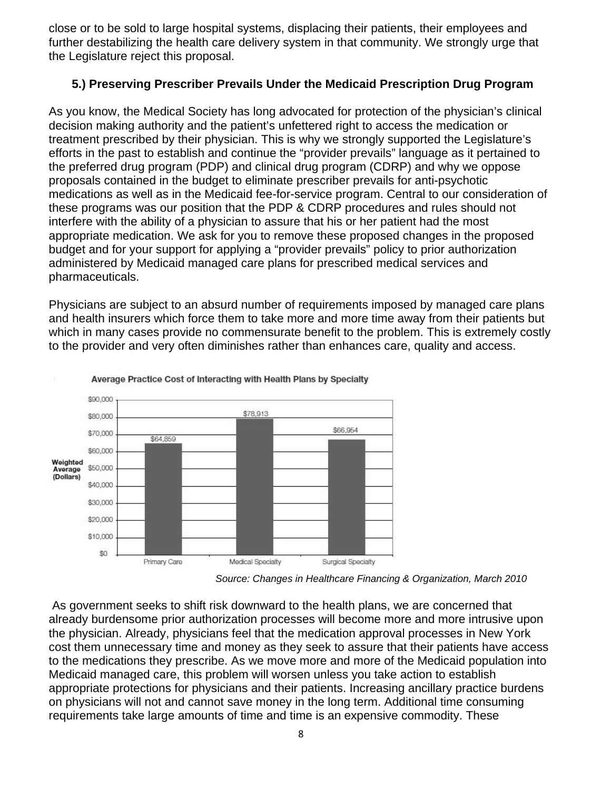close or to be sold to large hospital systems, displacing their patients, their employees and further destabilizing the health care delivery system in that community. We strongly urge that the Legislature reject this proposal.

# **5.) Preserving Prescriber Prevails Under the Medicaid Prescription Drug Program**

As you know, the Medical Society has long advocated for protection of the physician's clinical decision making authority and the patient's unfettered right to access the medication or treatment prescribed by their physician. This is why we strongly supported the Legislature's efforts in the past to establish and continue the "provider prevails" language as it pertained to the preferred drug program (PDP) and clinical drug program (CDRP) and why we oppose proposals contained in the budget to eliminate prescriber prevails for anti-psychotic medications as well as in the Medicaid fee-for-service program. Central to our consideration of these programs was our position that the PDP & CDRP procedures and rules should not interfere with the ability of a physician to assure that his or her patient had the most appropriate medication. We ask for you to remove these proposed changes in the proposed budget and for your support for applying a "provider prevails" policy to prior authorization administered by Medicaid managed care plans for prescribed medical services and pharmaceuticals.

Physicians are subject to an absurd number of requirements imposed by managed care plans and health insurers which force them to take more and more time away from their patients but which in many cases provide no commensurate benefit to the problem. This is extremely costly to the provider and very often diminishes rather than enhances care, quality and access.



#### Average Practice Cost of Interacting with Health Plans by Specialty

 As government seeks to shift risk downward to the health plans, we are concerned that already burdensome prior authorization processes will become more and more intrusive upon the physician. Already, physicians feel that the medication approval processes in New York cost them unnecessary time and money as they seek to assure that their patients have access to the medications they prescribe. As we move more and more of the Medicaid population into Medicaid managed care, this problem will worsen unless you take action to establish appropriate protections for physicians and their patients. Increasing ancillary practice burdens on physicians will not and cannot save money in the long term. Additional time consuming requirements take large amounts of time and time is an expensive commodity. These

*Source: Changes in Healthcare Financing & Organization, March 2010*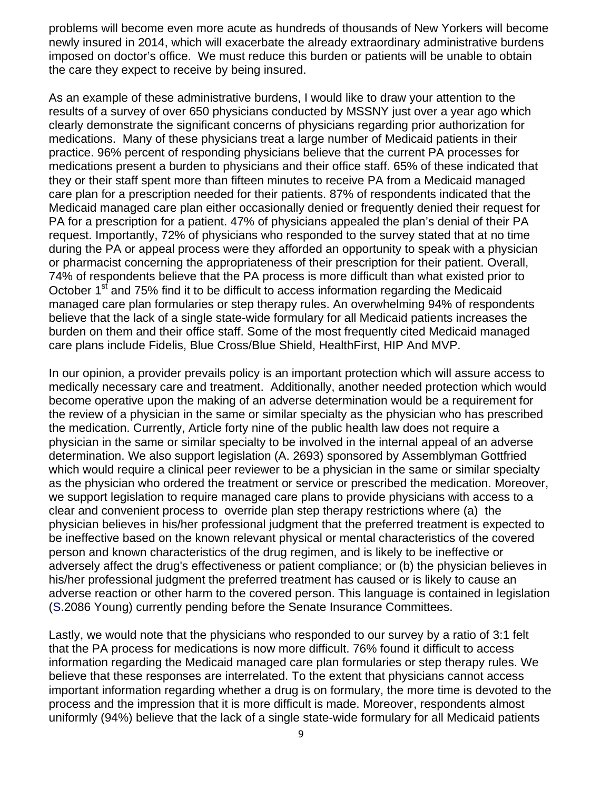problems will become even more acute as hundreds of thousands of New Yorkers will become newly insured in 2014, which will exacerbate the already extraordinary administrative burdens imposed on doctor's office. We must reduce this burden or patients will be unable to obtain the care they expect to receive by being insured.

As an example of these administrative burdens, I would like to draw your attention to the results of a survey of over 650 physicians conducted by MSSNY just over a year ago which clearly demonstrate the significant concerns of physicians regarding prior authorization for medications. Many of these physicians treat a large number of Medicaid patients in their practice. 96% percent of responding physicians believe that the current PA processes for medications present a burden to physicians and their office staff. 65% of these indicated that they or their staff spent more than fifteen minutes to receive PA from a Medicaid managed care plan for a prescription needed for their patients. 87% of respondents indicated that the Medicaid managed care plan either occasionally denied or frequently denied their request for PA for a prescription for a patient. 47% of physicians appealed the plan's denial of their PA request. Importantly, 72% of physicians who responded to the survey stated that at no time during the PA or appeal process were they afforded an opportunity to speak with a physician or pharmacist concerning the appropriateness of their prescription for their patient. Overall, 74% of respondents believe that the PA process is more difficult than what existed prior to October 1<sup>st</sup> and 75% find it to be difficult to access information regarding the Medicaid managed care plan formularies or step therapy rules. An overwhelming 94% of respondents believe that the lack of a single state-wide formulary for all Medicaid patients increases the burden on them and their office staff. Some of the most frequently cited Medicaid managed care plans include Fidelis, Blue Cross/Blue Shield, HealthFirst, HIP And MVP.

In our opinion, a provider prevails policy is an important protection which will assure access to medically necessary care and treatment. Additionally, another needed protection which would become operative upon the making of an adverse determination would be a requirement for the review of a physician in the same or similar specialty as the physician who has prescribed the medication. Currently, Article forty nine of the public health law does not require a physician in the same or similar specialty to be involved in the internal appeal of an adverse determination. We also support legislation (A. 2693) sponsored by Assemblyman Gottfried which would require a clinical peer reviewer to be a physician in the same or similar specialty as the physician who ordered the treatment or service or prescribed the medication. Moreover, we support legislation to require managed care plans to provide physicians with access to a clear and convenient process to override plan step therapy restrictions where (a) the physician believes in his/her professional judgment that the preferred treatment is expected to be ineffective based on the known relevant physical or mental characteristics of the covered person and known characteristics of the drug regimen, and is likely to be ineffective or adversely affect the drug's effectiveness or patient compliance; or (b) the physician believes in his/her professional judgment the preferred treatment has caused or is likely to cause an adverse reaction or other harm to the covered person. This language is contained in legislation (S.2086 Young) currently pending before the Senate Insurance Committees.

Lastly, we would note that the physicians who responded to our survey by a ratio of 3:1 felt that the PA process for medications is now more difficult. 76% found it difficult to access information regarding the Medicaid managed care plan formularies or step therapy rules. We believe that these responses are interrelated. To the extent that physicians cannot access important information regarding whether a drug is on formulary, the more time is devoted to the process and the impression that it is more difficult is made. Moreover, respondents almost uniformly (94%) believe that the lack of a single state-wide formulary for all Medicaid patients